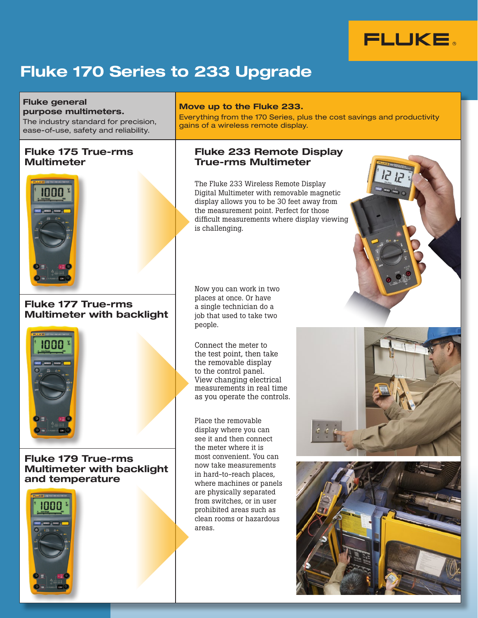

# Fluke 170 Series to 233 Upgrade

Fluke general purpose multimeters. The industry standard for precision,

ease-of-use, safety and reliability.

## Fluke 175 True-rms Multimeter



## Fluke 177 True-rms Multimeter with backlight



Fluke 179 True-rms Multimeter with backlight and temperature



#### Move up to the Fluke 233.

Everything from the 170 Series, plus the cost savings and productivity gains of a wireless remote display.

### Fluke 233 Remote Display True-rms Multimeter

The Fluke 233 Wireless Remote Display Digital Multimeter with removable magnetic display allows you to be 30 feet away from the measurement point. Perfect for those difficult measurements where display viewing is challenging.

Now you can work in two places at once. Or have a single technician do a job that used to take two people.

Connect the meter to the test point, then take the removable display to the control panel. View changing electrical measurements in real time as you operate the controls.

Place the removable display where you can see it and then connect the meter where it is most convenient. You can now take measurements in hard-to-reach places, where machines or panels are physically separated from switches, or in user prohibited areas such as clean rooms or hazardous areas.